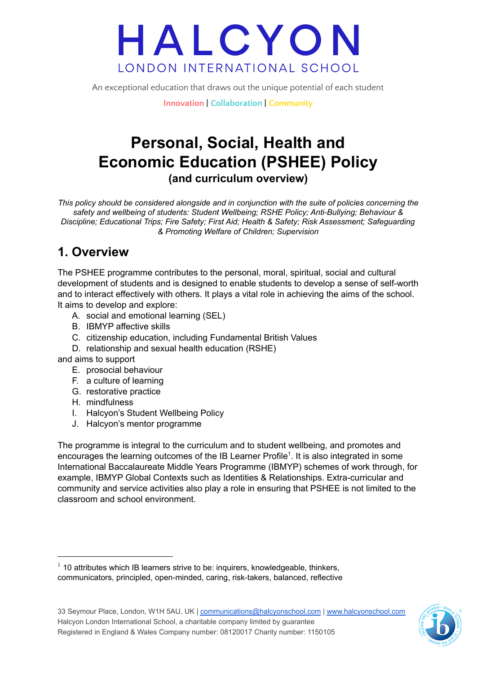An exceptional education that draws out the unique potential of each student

**Innovation | Collaboration | Community**

### **Personal, Social, Health and Economic Education (PSHEE) Policy (and curriculum overview)**

*This policy should be considered alongside and in conjunction with the suite of policies concerning the safety and wellbeing of students: Student Wellbeing; RSHE Policy; Anti-Bullying; Behaviour & Discipline; Educational Trips; Fire Safety; First Aid; Health & Safety; Risk Assessment; Safeguarding & Promoting Welfare of Children; Supervision*

### **1. Overview**

The PSHEE programme contributes to the personal, moral, spiritual, social and cultural development of students and is designed to enable students to develop a sense of self-worth and to interact effectively with others. It plays a vital role in achieving the aims of the school. It aims to develop and explore:

- A. social and emotional learning (SEL)
- B. IBMYP affective skills
- C. citizenship education, including Fundamental British Values
- D. relationship and sexual health education (RSHE)

and aims to support

- E. prosocial behaviour
- F. a culture of learning
- G. restorative practice
- H. mindfulness
- I. Halcyon's Student Wellbeing Policy
- J. Halcyon's mentor programme

The programme is integral to the curriculum and to student wellbeing, and promotes and encourages the learning outcomes of the IB Learner Profile<sup>1</sup>. It is also integrated in some International Baccalaureate Middle Years Programme (IBMYP) schemes of work through, for example, IBMYP Global Contexts such as Identities & Relationships. Extra-curricular and community and service activities also play a role in ensuring that PSHEE is not limited to the classroom and school environment.



 $1$  10 attributes which IB learners strive to be: inquirers, knowledgeable, thinkers, communicators, principled, open-minded, caring, risk-takers, balanced, reflective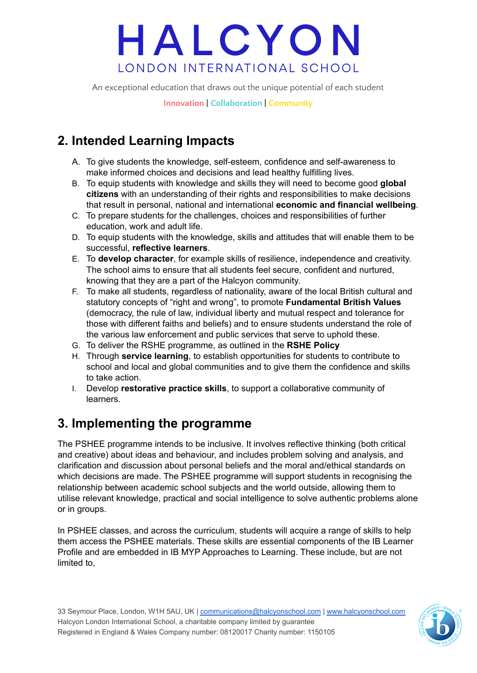An exceptional education that draws out the unique potential of each student

**Innovation | Collaboration | Community**

### **2. Intended Learning Impacts**

- A. To give students the knowledge, self-esteem, confidence and self-awareness to make informed choices and decisions and lead healthy fulfilling lives.
- B. To equip students with knowledge and skills they will need to become good **global citizens** with an understanding of their rights and responsibilities to make decisions that result in personal, national and international **economic and financial wellbeing**.
- C. To prepare students for the challenges, choices and responsibilities of further education, work and adult life.
- D. To equip students with the knowledge, skills and attitudes that will enable them to be successful, **reflective learners**.
- E. To **develop character**, for example skills of resilience, independence and creativity. The school aims to ensure that all students feel secure, confident and nurtured, knowing that they are a part of the Halcyon community.
- F. To make all students, regardless of nationality, aware of the local British cultural and statutory concepts of "right and wrong", to promote **Fundamental British Values** (democracy, the rule of law, individual liberty and mutual respect and tolerance for those with different faiths and beliefs) and to ensure students understand the role of the various law enforcement and public services that serve to uphold these.
- G. To deliver the RSHE programme, as outlined in the **RSHE Policy**
- H. Through **service learning**, to establish opportunities for students to contribute to school and local and global communities and to give them the confidence and skills to take action.
- I. Develop **restorative practice skills**, to support a collaborative community of learners.

### **3. Implementing the programme**

The PSHEE programme intends to be inclusive. It involves reflective thinking (both critical and creative) about ideas and behaviour, and includes problem solving and analysis, and clarification and discussion about personal beliefs and the moral and/ethical standards on which decisions are made. The PSHEE programme will support students in recognising the relationship between academic school subjects and the world outside, allowing them to utilise relevant knowledge, practical and social intelligence to solve authentic problems alone or in groups.

In PSHEE classes, and across the curriculum, students will acquire a range of skills to help them access the PSHEE materials. These skills are essential components of the IB Learner Profile and are embedded in IB MYP Approaches to Learning. These include, but are not limited to,

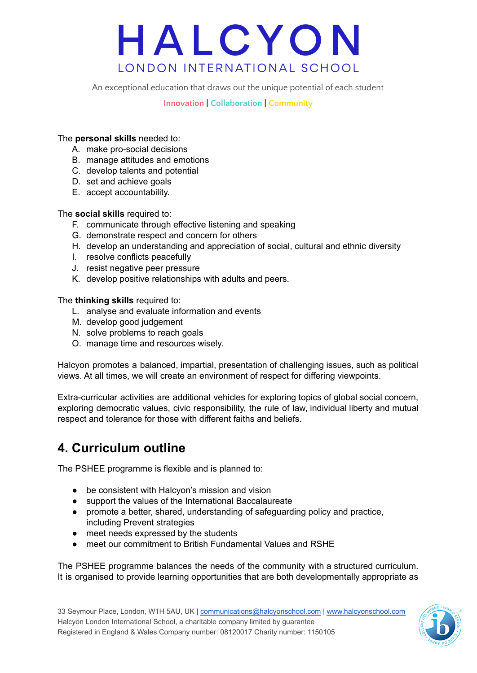An exceptional education that draws out the unique potential of each student

**Innovation | Collaboration | Community**

#### The **personal skills** needed to:

- A. make pro-social decisions
- B. manage attitudes and emotions
- C. develop talents and potential
- D. set and achieve goals
- E. accept accountability.

#### The **social skills** required to:

- F. communicate through effective listening and speaking
- G. demonstrate respect and concern for others
- H. develop an understanding and appreciation of social, cultural and ethnic diversity
- I. resolve conflicts peacefully
- J. resist negative peer pressure
- K. develop positive relationships with adults and peers.

The **thinking skills** required to:

- L. analyse and evaluate information and events
- M. develop good judgement
- N. solve problems to reach goals
- O. manage time and resources wisely.

Halcyon promotes a balanced, impartial, presentation of challenging issues, such as political views. At all times, we will create an environment of respect for differing viewpoints.

Extra-curricular activities are additional vehicles for exploring topics of global social concern, exploring democratic values, civic responsibility, the rule of law, individual liberty and mutual respect and tolerance for those with different faiths and beliefs.

### **4. Curriculum outline**

The PSHEE programme is flexible and is planned to:

- be consistent with Halcyon's mission and vision
- support the values of the International Baccalaureate
- promote a better, shared, understanding of safeguarding policy and practice, including Prevent strategies
- meet needs expressed by the students
- meet our commitment to British Fundamental Values and RSHE

The PSHEE programme balances the needs of the community with a structured curriculum. It is organised to provide learning opportunities that are both developmentally appropriate as

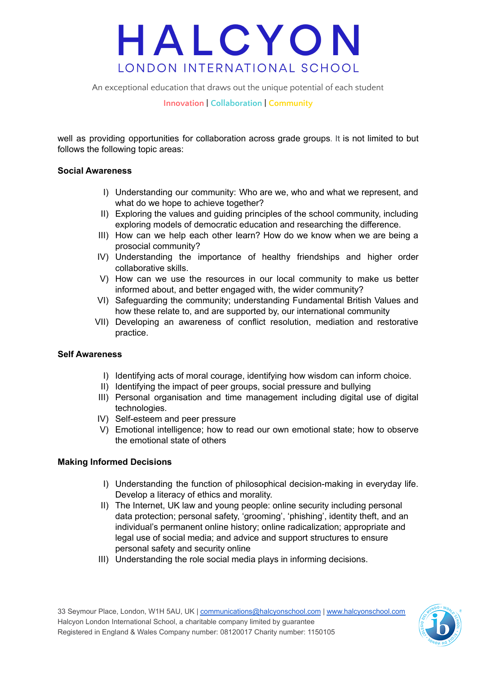An exceptional education that draws out the unique potential of each student

**Innovation | Collaboration | Community**

well as providing opportunities for collaboration across grade groups. It is not limited to but follows the following topic areas:

#### **Social Awareness**

- I) Understanding our community: Who are we, who and what we represent, and what do we hope to achieve together?
- II) Exploring the values and guiding principles of the school community, including exploring models of democratic education and researching the difference.
- III) How can we help each other learn? How do we know when we are being a prosocial community?
- IV) Understanding the importance of healthy friendships and higher order collaborative skills.
- V) How can we use the resources in our local community to make us better informed about, and better engaged with, the wider community?
- VI) Safeguarding the community; understanding Fundamental British Values and how these relate to, and are supported by, our international community
- VII) Developing an awareness of conflict resolution, mediation and restorative practice.

#### **Self Awareness**

- I) Identifying acts of moral courage, identifying how wisdom can inform choice.
- II) Identifying the impact of peer groups, social pressure and bullying
- III) Personal organisation and time management including digital use of digital technologies.
- IV) Self-esteem and peer pressure
- V) Emotional intelligence; how to read our own emotional state; how to observe the emotional state of others

#### **Making Informed Decisions**

- I) Understanding the function of philosophical decision-making in everyday life. Develop a literacy of ethics and morality.
- II) The Internet, UK law and young people: online security including personal data protection; personal safety, 'grooming', 'phishing', identity theft, and an individual's permanent online history; online radicalization; appropriate and legal use of social media; and advice and support structures to ensure personal safety and security online
- III) Understanding the role social media plays in informing decisions.

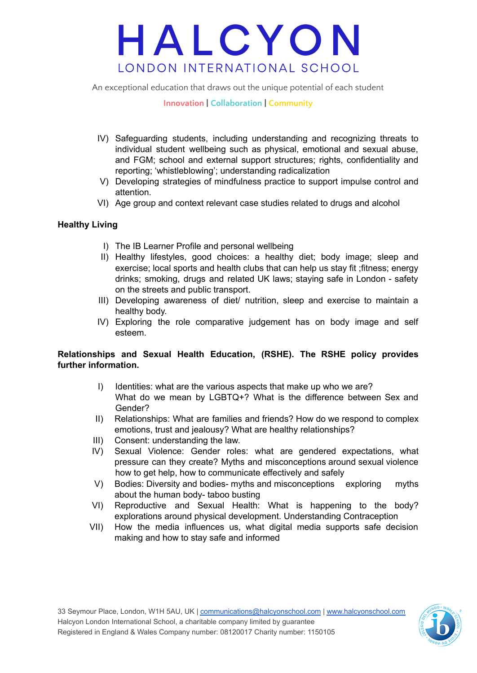An exceptional education that draws out the unique potential of each student

#### **Innovation | Collaboration | Community**

- IV) Safeguarding students, including understanding and recognizing threats to individual student wellbeing such as physical, emotional and sexual abuse, and FGM; school and external support structures; rights, confidentiality and reporting; 'whistleblowing'; understanding radicalization
- V) Developing strategies of mindfulness practice to support impulse control and attention.
- VI) Age group and context relevant case studies related to drugs and alcohol

#### **Healthy Living**

- I) The IB Learner Profile and personal wellbeing
- II) Healthy lifestyles, good choices: a healthy diet; body image; sleep and exercise; local sports and health clubs that can help us stay fit ;fitness; energy drinks; smoking, drugs and related UK laws; staying safe in London - safety on the streets and public transport.
- III) Developing awareness of diet/ nutrition, sleep and exercise to maintain a healthy body.
- IV) Exploring the role comparative judgement has on body image and self esteem.

#### **Relationships and Sexual Health Education, (RSHE). The RSHE policy provides further information.**

- I) Identities: what are the various aspects that make up who we are? What do we mean by LGBTQ+? What is the difference between Sex and Gender?
- II) Relationships: What are families and friends? How do we respond to complex emotions, trust and jealousy? What are healthy relationships?
- III) Consent: understanding the law.
- IV) Sexual Violence: Gender roles: what are gendered expectations, what pressure can they create? Myths and misconceptions around sexual violence how to get help, how to communicate effectively and safely
- V) Bodies: Diversity and bodies- myths and misconceptions exploring myths about the human body- taboo busting
- VI) Reproductive and Sexual Health: What is happening to the body? explorations around physical development. Understanding Contraception
- VII) How the media influences us, what digital media supports safe decision making and how to stay safe and informed

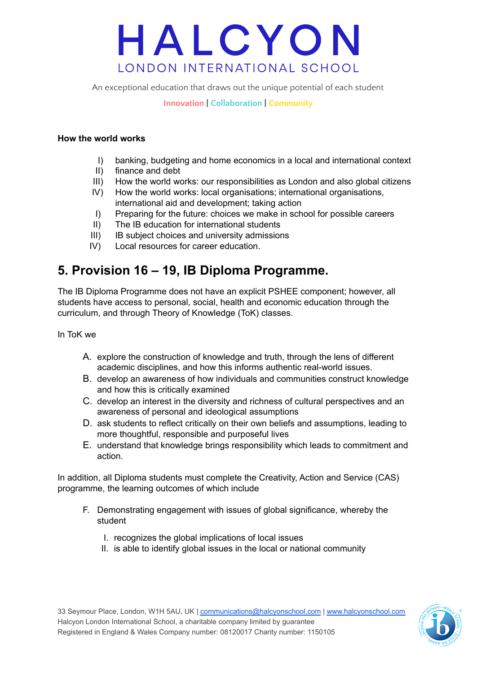An exceptional education that draws out the unique potential of each student

#### **Innovation | Collaboration | Community**

#### **How the world works**

- I) banking, budgeting and home economics in a local and international context
- II) finance and debt
- III) How the world works: our responsibilities as London and also global citizens
- IV) How the world works: local organisations; international organisations, international aid and development; taking action
- I) Preparing for the future: choices we make in school for possible careers
- II) The IB education for international students
- III) IB subject choices and university admissions
- IV) Local resources for career education.

### **5. Provision 16 – 19, IB Diploma Programme.**

The IB Diploma Programme does not have an explicit PSHEE component; however, all students have access to personal, social, health and economic education through the curriculum, and through Theory of Knowledge (ToK) classes.

In ToK we

- A. explore the construction of knowledge and truth, through the lens of different academic disciplines, and how this informs authentic real-world issues.
- B. develop an awareness of how individuals and communities construct knowledge and how this is critically examined
- C. develop an interest in the diversity and richness of cultural perspectives and an awareness of personal and ideological assumptions
- D. ask students to reflect critically on their own beliefs and assumptions, leading to more thoughtful, responsible and purposeful lives
- E. understand that knowledge brings responsibility which leads to commitment and action.

In addition, all Diploma students must complete the Creativity, Action and Service (CAS) programme, the learning outcomes of which include

- F. Demonstrating engagement with issues of global significance, whereby the student
	- I. recognizes the global implications of local issues
	- II. is able to identify global issues in the local or national community